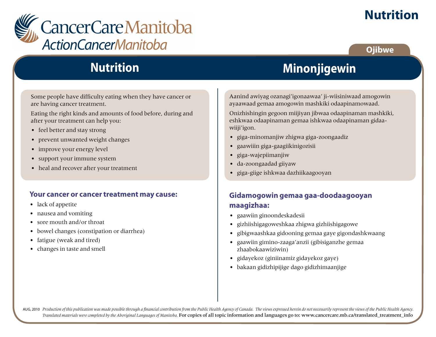

# **Nutrition**

### **Ojibwe**

## **Nutrition**

Some people have difficulty eating when they have cancer or are having cancer treatment.

Eating the right kinds and amounts of food before, during and after your treatment can help you:

- feel better and stay strong
- prevent unwanted weight changes
- improve your energy level
- support your immune system
- heal and recover after your treatment

#### **Your cancer or cancer treatment may cause:**

- lack of appetite
- nausea and vomiting
- sore mouth and/or throat
- bowel changes (constipation or diarrhea)
- fatigue (weak and tired)
- changes in taste and smell

# **Minonjigewin**

Aanind awiyag ozanagi'igonaawaa' ji-wiisiniwaad amogowin ayaawaad gemaa amogowin mashkiki odaapinamowaad.

Onizhishingin gegoon miijiyan jibwaa odaapinaman mashkiki, eshkwaa odaapinaman gemaa ishkwaa odaapinaman gidaawiiji'igon.

- giga-minomanjiw zhigwa giga-zoongaadiz
- gaawiiin giga-gaagiikinigozisii
- giga-wajepiimanjiw
- da-zoongaadad giiyaw
- giga-giige ishkwaa dazhiikaagooyan

### **Gidamogowin gemaa gaa-doodaagooyan maagizhaa:**

- gaawiin ginoondeskadesii
- gizhiishigagoweshkaa zhigwa gizhiishigagowe
- gibigwaashkaa gidooning gemaa gaye gigondashkwaang
- gaawiin gimino-zaaga'anzii (gibisiganzhe gemaa zhaabokaawiziwin)
- gidayekoz (giniinamiz gidayekoz gaye)
- bakaan gidizhipijige dago gidizhimaanjige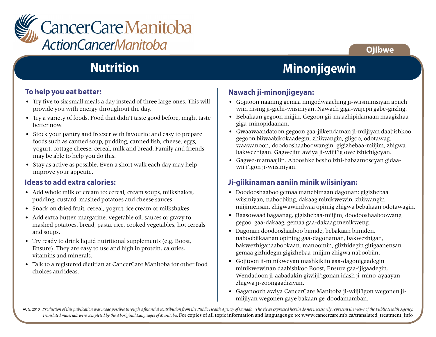

### **Ojibwe**

# **Nutrition**

### **To help you eat better:**

- Try five to six small meals a day instead of three large ones. This will provide you with energy throughout the day.
- Try a variety of foods. Food that didn't taste good before, might taste better now.
- Stock your pantry and freezer with favourite and easy to prepare foods such as canned soup, pudding, canned fish, cheese, eggs, yogurt, cottage cheese, cereal, milk and bread. Family and friends may be able to help you do this.
- Stay as active as possible. Even a short walk each day may help improve your appetite.

#### **Ideas to add extra calories:**

- Add whole milk or cream to: cereal, cream soups, milkshakes, pudding, custard, mashed potatoes and cheese sauces.
- Snack on dried fruit, cereal, yogurt, ice cream or milkshakes.
- Add extra butter, margarine, vegetable oil, sauces or gravy to mashed potatoes, bread, pasta, rice, cooked vegetables, hot cereals and soups.
- Try ready to drink liquid nutritional supplements (e.g. Boost, Ensure). They are easy to use and high in protein, calories, vitamins and minerals.
- Talk to a registered dietitian at CancerCare Manitoba for other food choices and ideas.

# **Minonjigewin**

### **Nawach ji-minonjigeyan:**

- Gojitoon naaning gemaa ningodwaaching ji-wiisiniinsiyan apiich wiin nising ji-gichi-wiisiniyan. Nawach giga-wajepii gabe-giizhig.
- Bebakaan gegoon miijin. Gegoon gii-maazhipidamaan maagizhaa giga-minopidaanan.
- Gwaawaandatoon gegoon gaa-jiikendaman ji-miijiyan daabishkoo gegoon biiwaabikokaadegin, zhiiwangin, giigoo, odotawag, waawanoon, doodooshaaboowangin, gigizhebaa-miijim, zhigwa bakwezhigan. Gagwejim awiya ji-wiiji'ig owe izhichigeyan.
- Gagwe-mamaajiin. Abooshke besho izhi-babaamoseyan gidaawiiji'igon ji-wiisiniyan.

### **Ji-giikinaman aaniin minik wiisiniyan:**

- Doodooshaaboo gemaa manebimaan dagonan: gigizhebaa wiisiniyan, naboobiing, dakaag minikwewin, zhiiwangin miijimensan, zhigwawindwaa opiniig zhigwa bebakaan odotawagin.
- Baasowaad bagaanag, gigizhebaa-miijim, doodooshaaboowang gegoo, gaa-dakaag, gemaa gaa-dakaag menikweng.
- Dagonan doodooshaaboo bimide, bebakaan bimiden, naboobiikaanan opining gaa-dagonaman, bakwezhigan, bakwezhiganaabookaan, manoomin, giizhidegin gitigaanensan gemaa gizhidegin gigizhebaa-miijim zhigwa naboobiin.
- Gojitoon ji-minikweyan mashkikiin gaa-dagonigaadegin minikwewinan daabishkoo Boost, Ensure gaa-ijigaadegin. Wendadoon ji-aabadakin giwiiji'igonan idash ji-mino-ayaayan zhigwa ji-zoongaadiziyan.
- Gaganoozh awiya CancerCare Manitoba ji-wiiji'igon wegonen jimiijiyan wegonen gaye bakaan ge-doodamamban.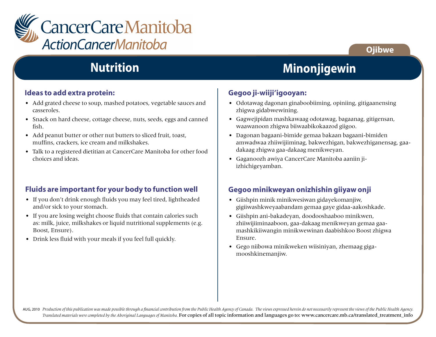

# **Nutrition**

#### **Ideas to add extra protein:**

- Add grated cheese to soup, mashed potatoes, vegetable sauces and casseroles.
- Snack on hard cheese, cottage cheese, nuts, seeds, eggs and canned fish.
- Add peanut butter or other nut butters to sliced fruit, toast, muffins, crackers, ice cream and milkshakes.
- Talk to a registered dietitian at CancerCare Manitoba for other food choices and ideas.

#### **Fluids are important for your body to function well**

- If you don't drink enough fluids you may feel tired, lightheaded and/or sick to your stomach.
- If you are losing weight choose fluids that contain calories such as: milk, juice, milkshakes or liquid nutritional supplements (e.g. Boost, Ensure).
- Drink less fluid with your meals if you feel full quickly.

### **Minonjigewin**

**Ojibwe**

#### **Gegoo ji-wiiji'igooyan:**

- Odotawag dagonan ginaboobiiming, opiniing, gitigaanensing zhigwa gidabwewining.
- Gagwejipidan mashkawaag odotawag, bagaanag, gitigensan, waawanoon zhigwa biiwaabikokaazod giigoo.
- Dagonan bagaani-bimide gemaa bakaan bagaani-bimiden amwadwaa zhiiwijiiminag, bakwezhigan, bakwezhiganensag, gaadakaag zhigwa gaa-dakaag menikweyan.
- Gaganoozh awiya CancerCare Manitoba aaniin jiizhichigeyamban.

#### **Gegoo minikweyan onizhishin giiyaw onji**

- Giishpin minik minikwesiwan gidayekomanjiw, gigiiwashkweyaabandam gemaa gaye gidaa-aakoshkade.
- Giishpin ani-bakadeyan, doodooshaaboo minikwen, zhiiwijiiminaaboon, gaa-dakaag menikweyan gemaa gaamashkikiiwangin minikwewinan daabishkoo Boost zhigwa Ensure.
- Gego niibowa minikweken wiisiniyan, zhemaag gigamooshkinemanjiw.